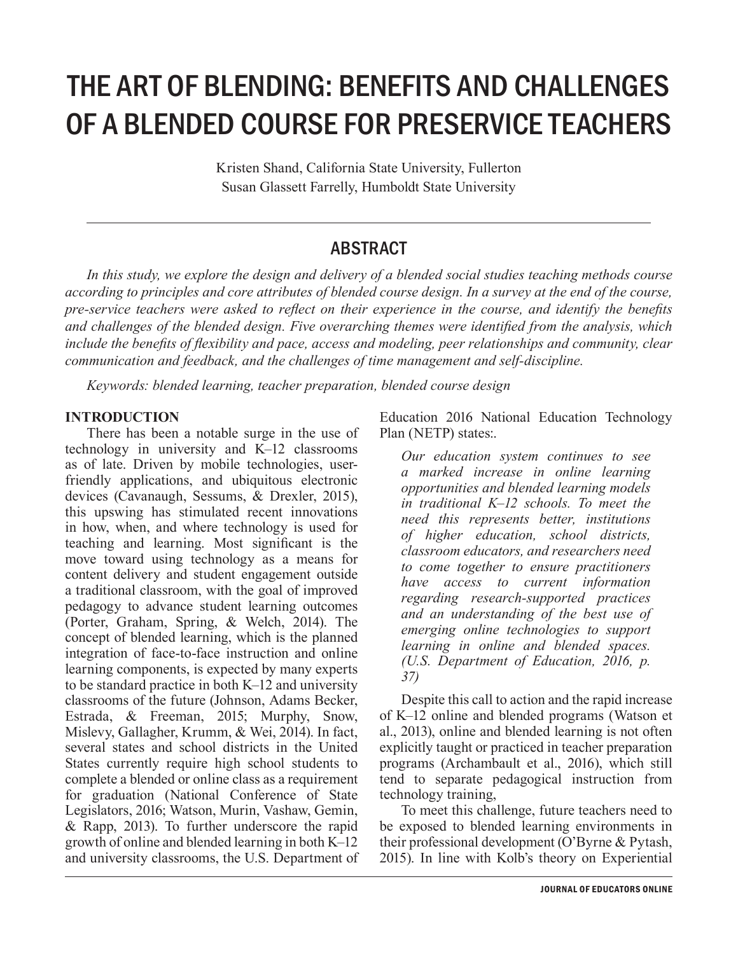# THE ART OF BLENDING: BENEFITS AND CHALLENGES OF A BLENDED COURSE FOR PRESERVICE TEACHERS

Kristen Shand, California State University, Fullerton Susan Glassett Farrelly, Humboldt State University

### ABSTRACT

*In this study, we explore the design and delivery of a blended social studies teaching methods course according to principles and core attributes of blended course design. In a survey at the end of the course, pre-service teachers were asked to reflect on their experience in the course, and identify the benefits and challenges of the blended design. Five overarching themes were identified from the analysis, which include the benefits of flexibility and pace, access and modeling, peer relationships and community, clear communication and feedback, and the challenges of time management and self-discipline.*

*Keywords: blended learning, teacher preparation, blended course design*

#### **INTRODUCTION**

There has been a notable surge in the use of technology in university and K–12 classrooms as of late. Driven by mobile technologies, userfriendly applications, and ubiquitous electronic devices (Cavanaugh, Sessums, & Drexler, 2015), this upswing has stimulated recent innovations in how, when, and where technology is used for teaching and learning. Most significant is the move toward using technology as a means for content delivery and student engagement outside a traditional classroom, with the goal of improved pedagogy to advance student learning outcomes (Porter, Graham, Spring, & Welch, 2014). The concept of blended learning, which is the planned integration of face-to-face instruction and online learning components, is expected by many experts to be standard practice in both K–12 and university classrooms of the future (Johnson, Adams Becker, Estrada, & Freeman, 2015; Murphy, Snow, Mislevy, Gallagher, Krumm, & Wei, 2014). In fact, several states and school districts in the United States currently require high school students to complete a blended or online class as a requirement for graduation (National Conference of State Legislators, 2016; Watson, Murin, Vashaw, Gemin, & Rapp, 2013). To further underscore the rapid growth of online and blended learning in both K–12 and university classrooms, the U.S. Department of Education 2016 National Education Technology Plan (NETP) states:.

*Our education system continues to see a marked increase in online learning opportunities and blended learning models in traditional K–12 schools. To meet the need this represents better, institutions of higher education, school districts, classroom educators, and researchers need to come together to ensure practitioners have access to current information regarding research-supported practices and an understanding of the best use of emerging online technologies to support learning in online and blended spaces. (U.S. Department of Education, 2016, p. 37)*

Despite this call to action and the rapid increase of K–12 online and blended programs (Watson et al., 2013), online and blended learning is not often explicitly taught or practiced in teacher preparation programs (Archambault et al., 2016), which still tend to separate pedagogical instruction from technology training,

To meet this challenge, future teachers need to be exposed to blended learning environments in their professional development (O'Byrne & Pytash, 2015). In line with Kolb's theory on Experiential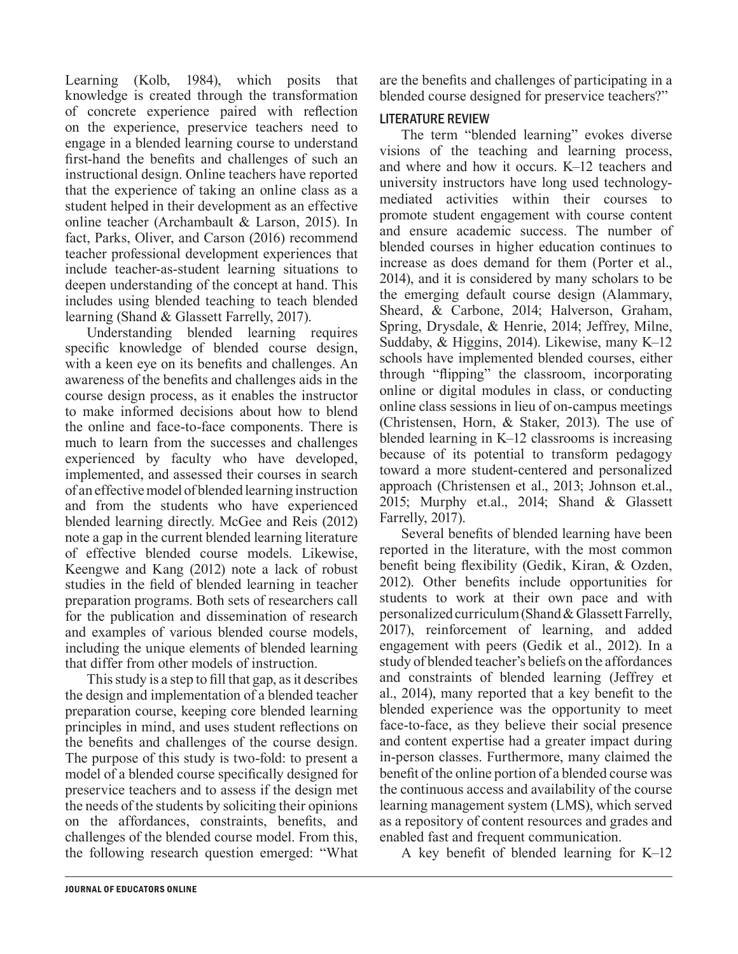Learning (Kolb, 1984), which posits that knowledge is created through the transformation of concrete experience paired with reflection on the experience, preservice teachers need to engage in a blended learning course to understand first-hand the benefits and challenges of such an instructional design. Online teachers have reported that the experience of taking an online class as a student helped in their development as an effective online teacher (Archambault & Larson, 2015). In fact, Parks, Oliver, and Carson (2016) recommend teacher professional development experiences that include teacher-as-student learning situations to deepen understanding of the concept at hand. This includes using blended teaching to teach blended learning (Shand & Glassett Farrelly, 2017).

Understanding blended learning requires specific knowledge of blended course design, with a keen eye on its benefits and challenges. An awareness of the benefits and challenges aids in the course design process, as it enables the instructor to make informed decisions about how to blend the online and face-to-face components. There is much to learn from the successes and challenges experienced by faculty who have developed, implemented, and assessed their courses in search of an effective model of blended learning instruction and from the students who have experienced blended learning directly. McGee and Reis (2012) note a gap in the current blended learning literature of effective blended course models. Likewise, Keengwe and Kang (2012) note a lack of robust studies in the field of blended learning in teacher preparation programs. Both sets of researchers call for the publication and dissemination of research and examples of various blended course models, including the unique elements of blended learning that differ from other models of instruction.

This study is a step to fill that gap, as it describes the design and implementation of a blended teacher preparation course, keeping core blended learning principles in mind, and uses student reflections on the benefits and challenges of the course design. The purpose of this study is two-fold: to present a model of a blended course specifically designed for preservice teachers and to assess if the design met the needs of the students by soliciting their opinions on the affordances, constraints, benefits, and challenges of the blended course model. From this, the following research question emerged: "What

are the benefits and challenges of participating in a blended course designed for preservice teachers?"

#### LITERATURE REVIEW

The term "blended learning" evokes diverse visions of the teaching and learning process, and where and how it occurs. K–12 teachers and university instructors have long used technologymediated activities within their courses to promote student engagement with course content and ensure academic success. The number of blended courses in higher education continues to increase as does demand for them (Porter et al., 2014), and it is considered by many scholars to be the emerging default course design (Alammary, Sheard, & Carbone, 2014; Halverson, Graham, Spring, Drysdale, & Henrie, 2014; Jeffrey, Milne, Suddaby, & Higgins, 2014). Likewise, many K–12 schools have implemented blended courses, either through "flipping" the classroom, incorporating online or digital modules in class, or conducting online class sessions in lieu of on-campus meetings (Christensen, Horn, & Staker, 2013). The use of blended learning in K–12 classrooms is increasing because of its potential to transform pedagogy toward a more student-centered and personalized approach (Christensen et al., 2013; Johnson et.al., 2015; Murphy et.al., 2014; Shand & Glassett Farrelly, 2017).

Several benefits of blended learning have been reported in the literature, with the most common benefit being flexibility (Gedik, Kiran, & Ozden, 2012). Other benefits include opportunities for students to work at their own pace and with personalized curriculum (Shand & Glassett Farrelly, 2017), reinforcement of learning, and added engagement with peers (Gedik et al., 2012). In a study of blended teacher's beliefs on the affordances and constraints of blended learning (Jeffrey et al., 2014), many reported that a key benefit to the blended experience was the opportunity to meet face-to-face, as they believe their social presence and content expertise had a greater impact during in-person classes. Furthermore, many claimed the benefit of the online portion of a blended course was the continuous access and availability of the course learning management system (LMS), which served as a repository of content resources and grades and enabled fast and frequent communication.

A key benefit of blended learning for K–12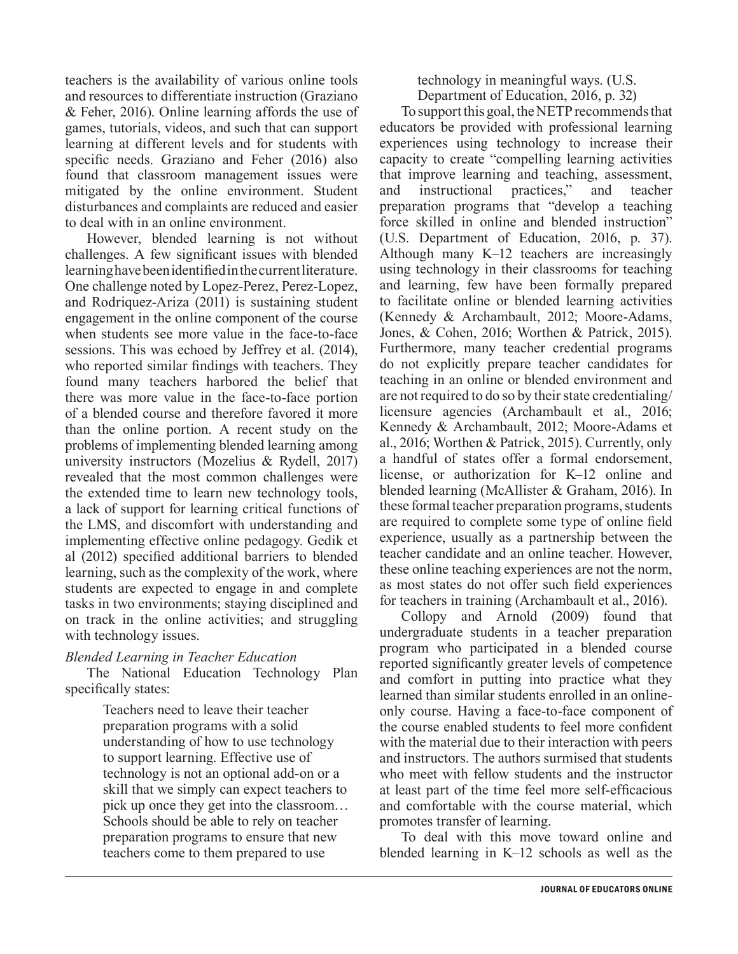teachers is the availability of various online tools and resources to differentiate instruction (Graziano & Feher, 2016). Online learning affords the use of games, tutorials, videos, and such that can support learning at different levels and for students with specific needs. Graziano and Feher (2016) also found that classroom management issues were mitigated by the online environment. Student disturbances and complaints are reduced and easier to deal with in an online environment.

However, blended learning is not without challenges. A few significant issues with blended learning have been identified in the current literature. One challenge noted by Lopez-Perez, Perez-Lopez, and Rodriquez-Ariza (2011) is sustaining student engagement in the online component of the course when students see more value in the face-to-face sessions. This was echoed by Jeffrey et al. (2014), who reported similar findings with teachers. They found many teachers harbored the belief that there was more value in the face-to-face portion of a blended course and therefore favored it more than the online portion. A recent study on the problems of implementing blended learning among university instructors (Mozelius & Rydell, 2017) revealed that the most common challenges were the extended time to learn new technology tools, a lack of support for learning critical functions of the LMS, and discomfort with understanding and implementing effective online pedagogy. Gedik et al (2012) specified additional barriers to blended learning, such as the complexity of the work, where students are expected to engage in and complete tasks in two environments; staying disciplined and on track in the online activities; and struggling with technology issues.

#### *Blended Learning in Teacher Education*

The National Education Technology Plan specifically states:

> Teachers need to leave their teacher preparation programs with a solid understanding of how to use technology to support learning. Effective use of technology is not an optional add-on or a skill that we simply can expect teachers to pick up once they get into the classroom… Schools should be able to rely on teacher preparation programs to ensure that new teachers come to them prepared to use

technology in meaningful ways. (U.S. Department of Education, 2016, p. 32)

To support this goal, the NETP recommends that educators be provided with professional learning experiences using technology to increase their capacity to create "compelling learning activities that improve learning and teaching, assessment, and instructional practices," and teacher preparation programs that "develop a teaching force skilled in online and blended instruction" (U.S. Department of Education, 2016, p. 37). Although many K–12 teachers are increasingly using technology in their classrooms for teaching and learning, few have been formally prepared to facilitate online or blended learning activities (Kennedy & Archambault, 2012; Moore-Adams, Jones, & Cohen, 2016; Worthen & Patrick, 2015). Furthermore, many teacher credential programs do not explicitly prepare teacher candidates for teaching in an online or blended environment and are not required to do so by their state credentialing/ licensure agencies (Archambault et al., 2016; Kennedy & Archambault, 2012; Moore-Adams et al., 2016; Worthen & Patrick, 2015). Currently, only a handful of states offer a formal endorsement, license, or authorization for K–12 online and blended learning (McAllister & Graham, 2016). In these formal teacher preparation programs, students are required to complete some type of online field experience, usually as a partnership between the teacher candidate and an online teacher. However, these online teaching experiences are not the norm, as most states do not offer such field experiences for teachers in training (Archambault et al., 2016).

Collopy and Arnold (2009) found that undergraduate students in a teacher preparation program who participated in a blended course reported significantly greater levels of competence and comfort in putting into practice what they learned than similar students enrolled in an onlineonly course. Having a face-to-face component of the course enabled students to feel more confident with the material due to their interaction with peers and instructors. The authors surmised that students who meet with fellow students and the instructor at least part of the time feel more self-efficacious and comfortable with the course material, which promotes transfer of learning.

To deal with this move toward online and blended learning in K–12 schools as well as the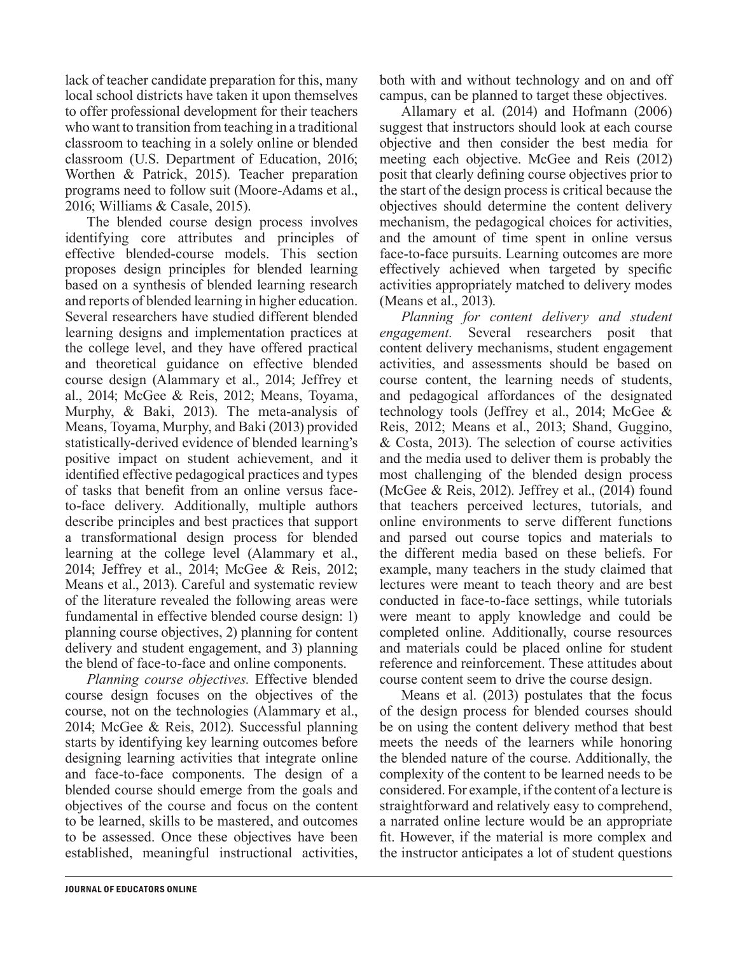lack of teacher candidate preparation for this, many local school districts have taken it upon themselves to offer professional development for their teachers who want to transition from teaching in a traditional classroom to teaching in a solely online or blended classroom (U.S. Department of Education, 2016; Worthen & Patrick, 2015). Teacher preparation programs need to follow suit (Moore-Adams et al., 2016; Williams & Casale, 2015).

The blended course design process involves identifying core attributes and principles of effective blended-course models. This section proposes design principles for blended learning based on a synthesis of blended learning research and reports of blended learning in higher education. Several researchers have studied different blended learning designs and implementation practices at the college level, and they have offered practical and theoretical guidance on effective blended course design (Alammary et al., 2014; Jeffrey et al., 2014; McGee & Reis, 2012; Means, Toyama, Murphy, & Baki, 2013). The meta-analysis of Means, Toyama, Murphy, and Baki (2013) provided statistically-derived evidence of blended learning's positive impact on student achievement, and it identified effective pedagogical practices and types of tasks that benefit from an online versus faceto-face delivery. Additionally, multiple authors describe principles and best practices that support a transformational design process for blended learning at the college level (Alammary et al., 2014; Jeffrey et al., 2014; McGee & Reis, 2012; Means et al., 2013). Careful and systematic review of the literature revealed the following areas were fundamental in effective blended course design: 1) planning course objectives, 2) planning for content delivery and student engagement, and 3) planning the blend of face-to-face and online components.

*Planning course objectives.* Effective blended course design focuses on the objectives of the course, not on the technologies (Alammary et al., 2014; McGee & Reis, 2012). Successful planning starts by identifying key learning outcomes before designing learning activities that integrate online and face-to-face components. The design of a blended course should emerge from the goals and objectives of the course and focus on the content to be learned, skills to be mastered, and outcomes to be assessed. Once these objectives have been established, meaningful instructional activities,

both with and without technology and on and off campus, can be planned to target these objectives.

Allamary et al. (2014) and Hofmann (2006) suggest that instructors should look at each course objective and then consider the best media for meeting each objective. McGee and Reis (2012) posit that clearly defining course objectives prior to the start of the design process is critical because the objectives should determine the content delivery mechanism, the pedagogical choices for activities, and the amount of time spent in online versus face-to-face pursuits. Learning outcomes are more effectively achieved when targeted by specific activities appropriately matched to delivery modes (Means et al., 2013).

*Planning for content delivery and student engagement.* Several researchers posit that content delivery mechanisms, student engagement activities, and assessments should be based on course content, the learning needs of students, and pedagogical affordances of the designated technology tools (Jeffrey et al., 2014; McGee & Reis, 2012; Means et al., 2013; Shand, Guggino, & Costa, 2013). The selection of course activities and the media used to deliver them is probably the most challenging of the blended design process (McGee & Reis, 2012). Jeffrey et al., (2014) found that teachers perceived lectures, tutorials, and online environments to serve different functions and parsed out course topics and materials to the different media based on these beliefs. For example, many teachers in the study claimed that lectures were meant to teach theory and are best conducted in face-to-face settings, while tutorials were meant to apply knowledge and could be completed online. Additionally, course resources and materials could be placed online for student reference and reinforcement. These attitudes about course content seem to drive the course design.

Means et al. (2013) postulates that the focus of the design process for blended courses should be on using the content delivery method that best meets the needs of the learners while honoring the blended nature of the course. Additionally, the complexity of the content to be learned needs to be considered. For example, if the content of a lecture is straightforward and relatively easy to comprehend, a narrated online lecture would be an appropriate fit. However, if the material is more complex and the instructor anticipates a lot of student questions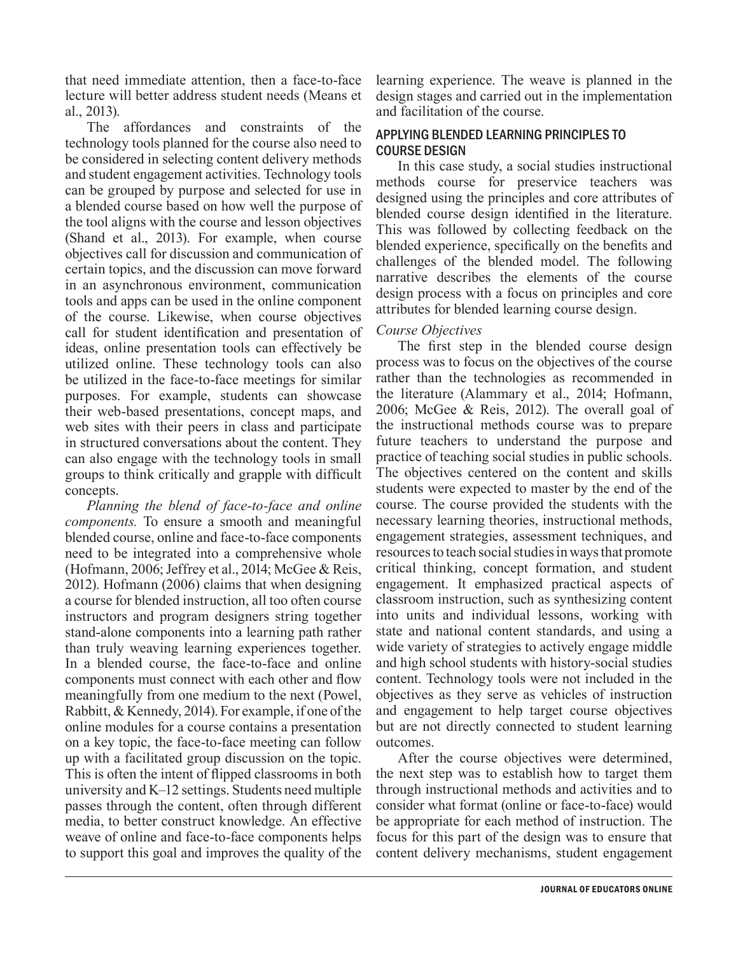that need immediate attention, then a face-to-face lecture will better address student needs (Means et al., 2013).

The affordances and constraints of the technology tools planned for the course also need to be considered in selecting content delivery methods and student engagement activities. Technology tools can be grouped by purpose and selected for use in a blended course based on how well the purpose of the tool aligns with the course and lesson objectives (Shand et al., 2013). For example, when course objectives call for discussion and communication of certain topics, and the discussion can move forward in an asynchronous environment, communication tools and apps can be used in the online component of the course. Likewise, when course objectives call for student identification and presentation of ideas, online presentation tools can effectively be utilized online. These technology tools can also be utilized in the face-to-face meetings for similar purposes. For example, students can showcase their web-based presentations, concept maps, and web sites with their peers in class and participate in structured conversations about the content. They can also engage with the technology tools in small groups to think critically and grapple with difficult concepts.

*Planning the blend of face-to-face and online components.* To ensure a smooth and meaningful blended course, online and face-to-face components need to be integrated into a comprehensive whole (Hofmann, 2006; Jeffrey et al., 2014; McGee & Reis, 2012). Hofmann (2006) claims that when designing a course for blended instruction, all too often course instructors and program designers string together stand-alone components into a learning path rather than truly weaving learning experiences together. In a blended course, the face-to-face and online components must connect with each other and flow meaningfully from one medium to the next (Powel, Rabbitt, & Kennedy, 2014). For example, if one of the online modules for a course contains a presentation on a key topic, the face-to-face meeting can follow up with a facilitated group discussion on the topic. This is often the intent of flipped classrooms in both university and K–12 settings. Students need multiple passes through the content, often through different media, to better construct knowledge. An effective weave of online and face-to-face components helps to support this goal and improves the quality of the

learning experience. The weave is planned in the design stages and carried out in the implementation and facilitation of the course.

#### APPLYING BLENDED LEARNING PRINCIPLES TO COURSE DESIGN

In this case study, a social studies instructional methods course for preservice teachers was designed using the principles and core attributes of blended course design identified in the literature. This was followed by collecting feedback on the blended experience, specifically on the benefits and challenges of the blended model. The following narrative describes the elements of the course design process with a focus on principles and core attributes for blended learning course design.

#### *Course Objectives*

The first step in the blended course design process was to focus on the objectives of the course rather than the technologies as recommended in the literature (Alammary et al., 2014; Hofmann, 2006; McGee & Reis, 2012). The overall goal of the instructional methods course was to prepare future teachers to understand the purpose and practice of teaching social studies in public schools. The objectives centered on the content and skills students were expected to master by the end of the course. The course provided the students with the necessary learning theories, instructional methods, engagement strategies, assessment techniques, and resources to teach social studies in ways that promote critical thinking, concept formation, and student engagement. It emphasized practical aspects of classroom instruction, such as synthesizing content into units and individual lessons, working with state and national content standards, and using a wide variety of strategies to actively engage middle and high school students with history-social studies content. Technology tools were not included in the objectives as they serve as vehicles of instruction and engagement to help target course objectives but are not directly connected to student learning outcomes.

After the course objectives were determined, the next step was to establish how to target them through instructional methods and activities and to consider what format (online or face-to-face) would be appropriate for each method of instruction. The focus for this part of the design was to ensure that content delivery mechanisms, student engagement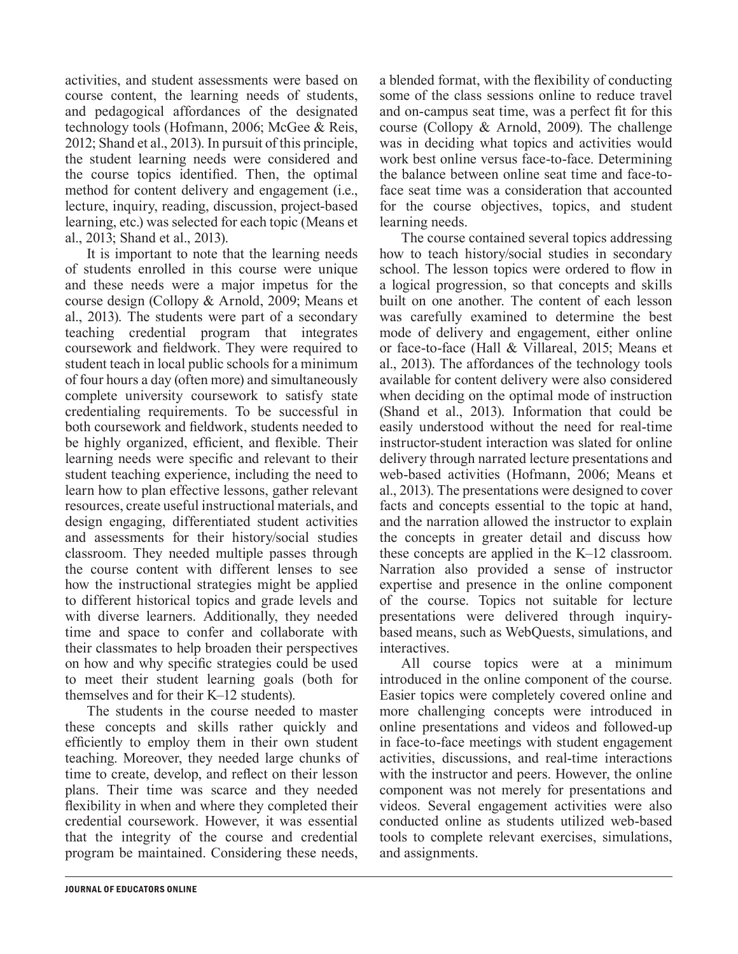activities, and student assessments were based on course content, the learning needs of students, and pedagogical affordances of the designated technology tools (Hofmann, 2006; McGee & Reis, 2012; Shand et al., 2013). In pursuit of this principle, the student learning needs were considered and the course topics identified. Then, the optimal method for content delivery and engagement (i.e., lecture, inquiry, reading, discussion, project-based learning, etc.) was selected for each topic (Means et al., 2013; Shand et al., 2013).

It is important to note that the learning needs of students enrolled in this course were unique and these needs were a major impetus for the course design (Collopy & Arnold, 2009; Means et al., 2013). The students were part of a secondary teaching credential program that integrates coursework and fieldwork. They were required to student teach in local public schools for a minimum of four hours a day (often more) and simultaneously complete university coursework to satisfy state credentialing requirements. To be successful in both coursework and fieldwork, students needed to be highly organized, efficient, and flexible. Their learning needs were specific and relevant to their student teaching experience, including the need to learn how to plan effective lessons, gather relevant resources, create useful instructional materials, and design engaging, differentiated student activities and assessments for their history/social studies classroom. They needed multiple passes through the course content with different lenses to see how the instructional strategies might be applied to different historical topics and grade levels and with diverse learners. Additionally, they needed time and space to confer and collaborate with their classmates to help broaden their perspectives on how and why specific strategies could be used to meet their student learning goals (both for themselves and for their K–12 students).

The students in the course needed to master these concepts and skills rather quickly and efficiently to employ them in their own student teaching. Moreover, they needed large chunks of time to create, develop, and reflect on their lesson plans. Their time was scarce and they needed flexibility in when and where they completed their credential coursework. However, it was essential that the integrity of the course and credential program be maintained. Considering these needs,

a blended format, with the flexibility of conducting some of the class sessions online to reduce travel and on-campus seat time, was a perfect fit for this course (Collopy & Arnold, 2009). The challenge was in deciding what topics and activities would work best online versus face-to-face. Determining the balance between online seat time and face-toface seat time was a consideration that accounted for the course objectives, topics, and student learning needs.

The course contained several topics addressing how to teach history/social studies in secondary school. The lesson topics were ordered to flow in a logical progression, so that concepts and skills built on one another. The content of each lesson was carefully examined to determine the best mode of delivery and engagement, either online or face-to-face (Hall & Villareal, 2015; Means et al., 2013). The affordances of the technology tools available for content delivery were also considered when deciding on the optimal mode of instruction (Shand et al., 2013). Information that could be easily understood without the need for real-time instructor-student interaction was slated for online delivery through narrated lecture presentations and web-based activities (Hofmann, 2006; Means et al., 2013). The presentations were designed to cover facts and concepts essential to the topic at hand, and the narration allowed the instructor to explain the concepts in greater detail and discuss how these concepts are applied in the K–12 classroom. Narration also provided a sense of instructor expertise and presence in the online component of the course. Topics not suitable for lecture presentations were delivered through inquirybased means, such as WebQuests, simulations, and interactives.

All course topics were at a minimum introduced in the online component of the course. Easier topics were completely covered online and more challenging concepts were introduced in online presentations and videos and followed-up in face-to-face meetings with student engagement activities, discussions, and real-time interactions with the instructor and peers. However, the online component was not merely for presentations and videos. Several engagement activities were also conducted online as students utilized web-based tools to complete relevant exercises, simulations, and assignments.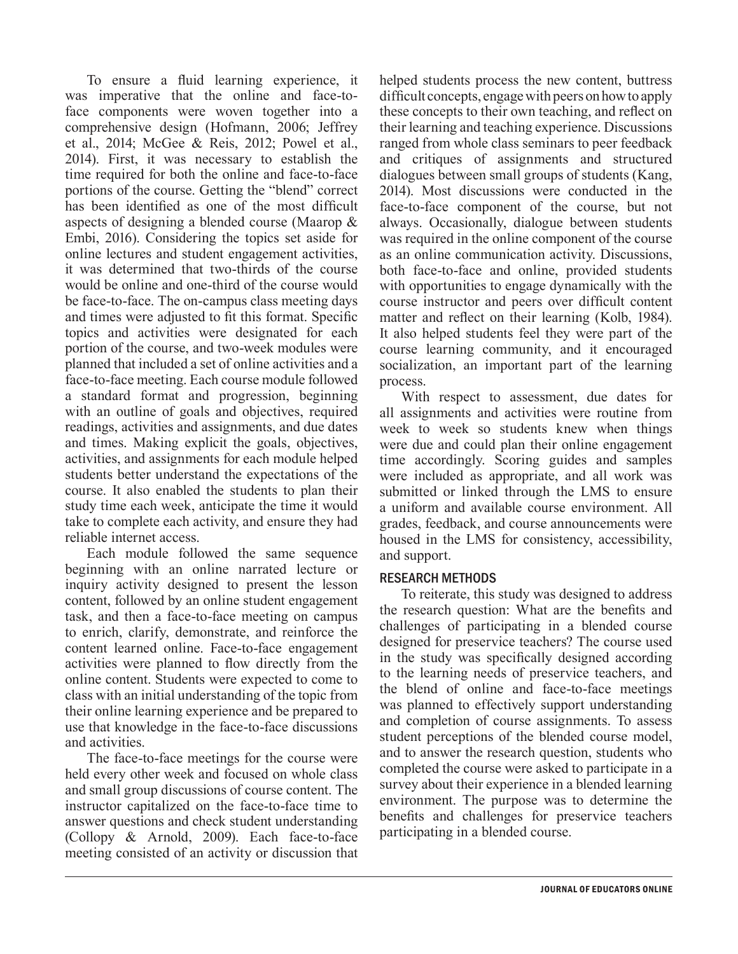To ensure a fluid learning experience, it was imperative that the online and face-toface components were woven together into a comprehensive design (Hofmann, 2006; Jeffrey et al., 2014; McGee & Reis, 2012; Powel et al., 2014). First, it was necessary to establish the time required for both the online and face-to-face portions of the course. Getting the "blend" correct has been identified as one of the most difficult aspects of designing a blended course (Maarop & Embi, 2016). Considering the topics set aside for online lectures and student engagement activities, it was determined that two-thirds of the course would be online and one-third of the course would be face-to-face. The on-campus class meeting days and times were adjusted to fit this format. Specific topics and activities were designated for each portion of the course, and two-week modules were planned that included a set of online activities and a face-to-face meeting. Each course module followed a standard format and progression, beginning with an outline of goals and objectives, required readings, activities and assignments, and due dates and times. Making explicit the goals, objectives, activities, and assignments for each module helped students better understand the expectations of the course. It also enabled the students to plan their study time each week, anticipate the time it would take to complete each activity, and ensure they had reliable internet access.

Each module followed the same sequence beginning with an online narrated lecture or inquiry activity designed to present the lesson content, followed by an online student engagement task, and then a face-to-face meeting on campus to enrich, clarify, demonstrate, and reinforce the content learned online. Face-to-face engagement activities were planned to flow directly from the online content. Students were expected to come to class with an initial understanding of the topic from their online learning experience and be prepared to use that knowledge in the face-to-face discussions and activities.

The face-to-face meetings for the course were held every other week and focused on whole class and small group discussions of course content. The instructor capitalized on the face-to-face time to answer questions and check student understanding (Collopy & Arnold, 2009). Each face-to-face meeting consisted of an activity or discussion that helped students process the new content, buttress difficult concepts, engage with peers on how to apply these concepts to their own teaching, and reflect on their learning and teaching experience. Discussions ranged from whole class seminars to peer feedback and critiques of assignments and structured dialogues between small groups of students (Kang, 2014). Most discussions were conducted in the face-to-face component of the course, but not always. Occasionally, dialogue between students was required in the online component of the course as an online communication activity. Discussions, both face-to-face and online, provided students with opportunities to engage dynamically with the course instructor and peers over difficult content matter and reflect on their learning (Kolb, 1984). It also helped students feel they were part of the course learning community, and it encouraged socialization, an important part of the learning process.

With respect to assessment, due dates for all assignments and activities were routine from week to week so students knew when things were due and could plan their online engagement time accordingly. Scoring guides and samples were included as appropriate, and all work was submitted or linked through the LMS to ensure a uniform and available course environment. All grades, feedback, and course announcements were housed in the LMS for consistency, accessibility, and support.

#### RESEARCH METHODS

To reiterate, this study was designed to address the research question: What are the benefits and challenges of participating in a blended course designed for preservice teachers? The course used in the study was specifically designed according to the learning needs of preservice teachers, and the blend of online and face-to-face meetings was planned to effectively support understanding and completion of course assignments. To assess student perceptions of the blended course model, and to answer the research question, students who completed the course were asked to participate in a survey about their experience in a blended learning environment. The purpose was to determine the benefits and challenges for preservice teachers participating in a blended course.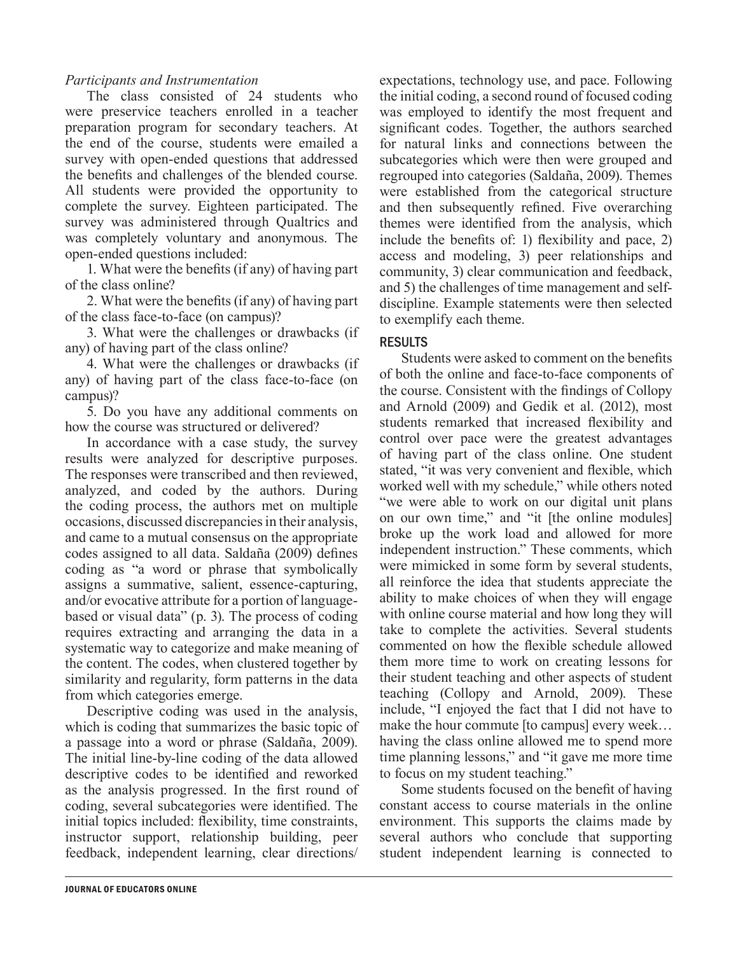#### *Participants and Instrumentation*

The class consisted of 24 students who were preservice teachers enrolled in a teacher preparation program for secondary teachers. At the end of the course, students were emailed a survey with open-ended questions that addressed the benefits and challenges of the blended course. All students were provided the opportunity to complete the survey. Eighteen participated. The survey was administered through Qualtrics and was completely voluntary and anonymous. The open-ended questions included:

1. What were the benefits (if any) of having part of the class online?

2. What were the benefits (if any) of having part of the class face-to-face (on campus)?

3. What were the challenges or drawbacks (if any) of having part of the class online?

4. What were the challenges or drawbacks (if any) of having part of the class face-to-face (on campus)?

5. Do you have any additional comments on how the course was structured or delivered?

In accordance with a case study, the survey results were analyzed for descriptive purposes. The responses were transcribed and then reviewed, analyzed, and coded by the authors. During the coding process, the authors met on multiple occasions, discussed discrepancies in their analysis, and came to a mutual consensus on the appropriate codes assigned to all data. Saldaña (2009) defines coding as "a word or phrase that symbolically assigns a summative, salient, essence-capturing, and/or evocative attribute for a portion of languagebased or visual data" (p. 3). The process of coding requires extracting and arranging the data in a systematic way to categorize and make meaning of the content. The codes, when clustered together by similarity and regularity, form patterns in the data from which categories emerge.

Descriptive coding was used in the analysis, which is coding that summarizes the basic topic of a passage into a word or phrase (Saldaña, 2009). The initial line-by-line coding of the data allowed descriptive codes to be identified and reworked as the analysis progressed. In the first round of coding, several subcategories were identified. The initial topics included: flexibility, time constraints, instructor support, relationship building, peer feedback, independent learning, clear directions/

expectations, technology use, and pace. Following the initial coding, a second round of focused coding was employed to identify the most frequent and significant codes. Together, the authors searched for natural links and connections between the subcategories which were then were grouped and regrouped into categories (Saldaña, 2009). Themes were established from the categorical structure and then subsequently refined. Five overarching themes were identified from the analysis, which include the benefits of: 1) flexibility and pace, 2) access and modeling, 3) peer relationships and community, 3) clear communication and feedback, and 5) the challenges of time management and selfdiscipline. Example statements were then selected to exemplify each theme.

#### RESULTS

Students were asked to comment on the benefits of both the online and face-to-face components of the course. Consistent with the findings of Collopy and Arnold (2009) and Gedik et al. (2012), most students remarked that increased flexibility and control over pace were the greatest advantages of having part of the class online. One student stated, "it was very convenient and flexible, which worked well with my schedule," while others noted "we were able to work on our digital unit plans on our own time," and "it [the online modules] broke up the work load and allowed for more independent instruction." These comments, which were mimicked in some form by several students, all reinforce the idea that students appreciate the ability to make choices of when they will engage with online course material and how long they will take to complete the activities. Several students commented on how the flexible schedule allowed them more time to work on creating lessons for their student teaching and other aspects of student teaching (Collopy and Arnold, 2009). These include, "I enjoyed the fact that I did not have to make the hour commute [to campus] every week… having the class online allowed me to spend more time planning lessons," and "it gave me more time to focus on my student teaching."

Some students focused on the benefit of having constant access to course materials in the online environment. This supports the claims made by several authors who conclude that supporting student independent learning is connected to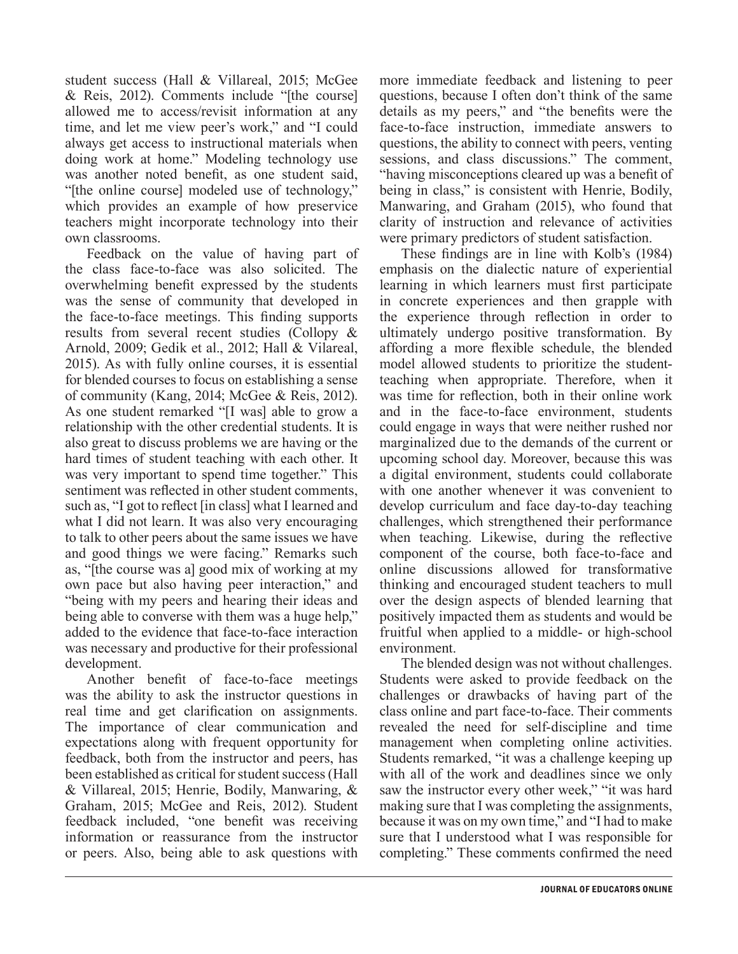student success (Hall & Villareal, 2015; McGee & Reis, 2012). Comments include "[the course] allowed me to access/revisit information at any time, and let me view peer's work," and "I could always get access to instructional materials when doing work at home." Modeling technology use was another noted benefit, as one student said, "[the online course] modeled use of technology," which provides an example of how preservice teachers might incorporate technology into their own classrooms.

Feedback on the value of having part of the class face-to-face was also solicited. The overwhelming benefit expressed by the students was the sense of community that developed in the face-to-face meetings. This finding supports results from several recent studies (Collopy & Arnold, 2009; Gedik et al., 2012; Hall & Vilareal, 2015). As with fully online courses, it is essential for blended courses to focus on establishing a sense of community (Kang, 2014; McGee & Reis, 2012). As one student remarked "[I was] able to grow a relationship with the other credential students. It is also great to discuss problems we are having or the hard times of student teaching with each other. It was very important to spend time together." This sentiment was reflected in other student comments, such as, "I got to reflect [in class] what I learned and what I did not learn. It was also very encouraging to talk to other peers about the same issues we have and good things we were facing." Remarks such as, "[the course was a] good mix of working at my own pace but also having peer interaction," and "being with my peers and hearing their ideas and being able to converse with them was a huge help," added to the evidence that face-to-face interaction was necessary and productive for their professional development.

Another benefit of face-to-face meetings was the ability to ask the instructor questions in real time and get clarification on assignments. The importance of clear communication and expectations along with frequent opportunity for feedback, both from the instructor and peers, has been established as critical for student success (Hall & Villareal, 2015; Henrie, Bodily, Manwaring, & Graham, 2015; McGee and Reis, 2012). Student feedback included, "one benefit was receiving information or reassurance from the instructor or peers. Also, being able to ask questions with

more immediate feedback and listening to peer questions, because I often don't think of the same details as my peers," and "the benefits were the face-to-face instruction, immediate answers to questions, the ability to connect with peers, venting sessions, and class discussions." The comment, "having misconceptions cleared up was a benefit of being in class," is consistent with Henrie, Bodily, Manwaring, and Graham (2015), who found that clarity of instruction and relevance of activities were primary predictors of student satisfaction.

These findings are in line with Kolb's (1984) emphasis on the dialectic nature of experiential learning in which learners must first participate in concrete experiences and then grapple with the experience through reflection in order to ultimately undergo positive transformation. By affording a more flexible schedule, the blended model allowed students to prioritize the studentteaching when appropriate. Therefore, when it was time for reflection, both in their online work and in the face-to-face environment, students could engage in ways that were neither rushed nor marginalized due to the demands of the current or upcoming school day. Moreover, because this was a digital environment, students could collaborate with one another whenever it was convenient to develop curriculum and face day-to-day teaching challenges, which strengthened their performance when teaching. Likewise, during the reflective component of the course, both face-to-face and online discussions allowed for transformative thinking and encouraged student teachers to mull over the design aspects of blended learning that positively impacted them as students and would be fruitful when applied to a middle- or high-school environment.

The blended design was not without challenges. Students were asked to provide feedback on the challenges or drawbacks of having part of the class online and part face-to-face. Their comments revealed the need for self-discipline and time management when completing online activities. Students remarked, "it was a challenge keeping up with all of the work and deadlines since we only saw the instructor every other week," "it was hard making sure that I was completing the assignments, because it was on my own time," and "I had to make sure that I understood what I was responsible for completing." These comments confirmed the need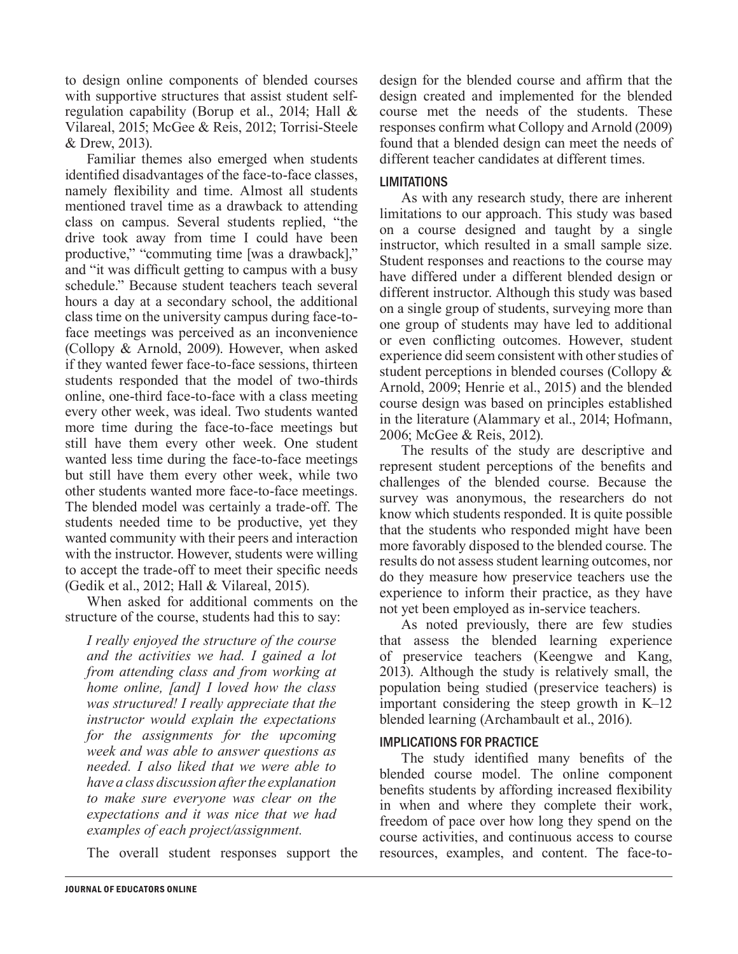to design online components of blended courses with supportive structures that assist student selfregulation capability (Borup et al., 2014; Hall & Vilareal, 2015; McGee & Reis, 2012; Torrisi-Steele & Drew, 2013).

Familiar themes also emerged when students identified disadvantages of the face-to-face classes, namely flexibility and time. Almost all students mentioned travel time as a drawback to attending class on campus. Several students replied, "the drive took away from time I could have been productive," "commuting time [was a drawback]," and "it was difficult getting to campus with a busy schedule." Because student teachers teach several hours a day at a secondary school, the additional class time on the university campus during face-toface meetings was perceived as an inconvenience (Collopy & Arnold, 2009). However, when asked if they wanted fewer face-to-face sessions, thirteen students responded that the model of two-thirds online, one-third face-to-face with a class meeting every other week, was ideal. Two students wanted more time during the face-to-face meetings but still have them every other week. One student wanted less time during the face-to-face meetings but still have them every other week, while two other students wanted more face-to-face meetings. The blended model was certainly a trade-off. The students needed time to be productive, yet they wanted community with their peers and interaction with the instructor. However, students were willing to accept the trade-off to meet their specific needs (Gedik et al., 2012; Hall & Vilareal, 2015).

When asked for additional comments on the structure of the course, students had this to say:

*I really enjoyed the structure of the course and the activities we had. I gained a lot from attending class and from working at home online, [and] I loved how the class was structured! I really appreciate that the instructor would explain the expectations for the assignments for the upcoming week and was able to answer questions as needed. I also liked that we were able to have a class discussion after the explanation to make sure everyone was clear on the expectations and it was nice that we had examples of each project/assignment.*

The overall student responses support the

design for the blended course and affirm that the design created and implemented for the blended course met the needs of the students. These responses confirm what Collopy and Arnold (2009) found that a blended design can meet the needs of different teacher candidates at different times.

#### LIMITATIONS

As with any research study, there are inherent limitations to our approach. This study was based on a course designed and taught by a single instructor, which resulted in a small sample size. Student responses and reactions to the course may have differed under a different blended design or different instructor. Although this study was based on a single group of students, surveying more than one group of students may have led to additional or even conflicting outcomes. However, student experience did seem consistent with other studies of student perceptions in blended courses (Collopy & Arnold, 2009; Henrie et al., 2015) and the blended course design was based on principles established in the literature (Alammary et al., 2014; Hofmann, 2006; McGee & Reis, 2012).

The results of the study are descriptive and represent student perceptions of the benefits and challenges of the blended course. Because the survey was anonymous, the researchers do not know which students responded. It is quite possible that the students who responded might have been more favorably disposed to the blended course. The results do not assess student learning outcomes, nor do they measure how preservice teachers use the experience to inform their practice, as they have not yet been employed as in-service teachers.

As noted previously, there are few studies that assess the blended learning experience of preservice teachers (Keengwe and Kang, 2013). Although the study is relatively small, the population being studied (preservice teachers) is important considering the steep growth in K–12 blended learning (Archambault et al., 2016).

#### IMPLICATIONS FOR PRACTICE

The study identified many benefits of the blended course model. The online component benefits students by affording increased flexibility in when and where they complete their work, freedom of pace over how long they spend on the course activities, and continuous access to course resources, examples, and content. The face-to-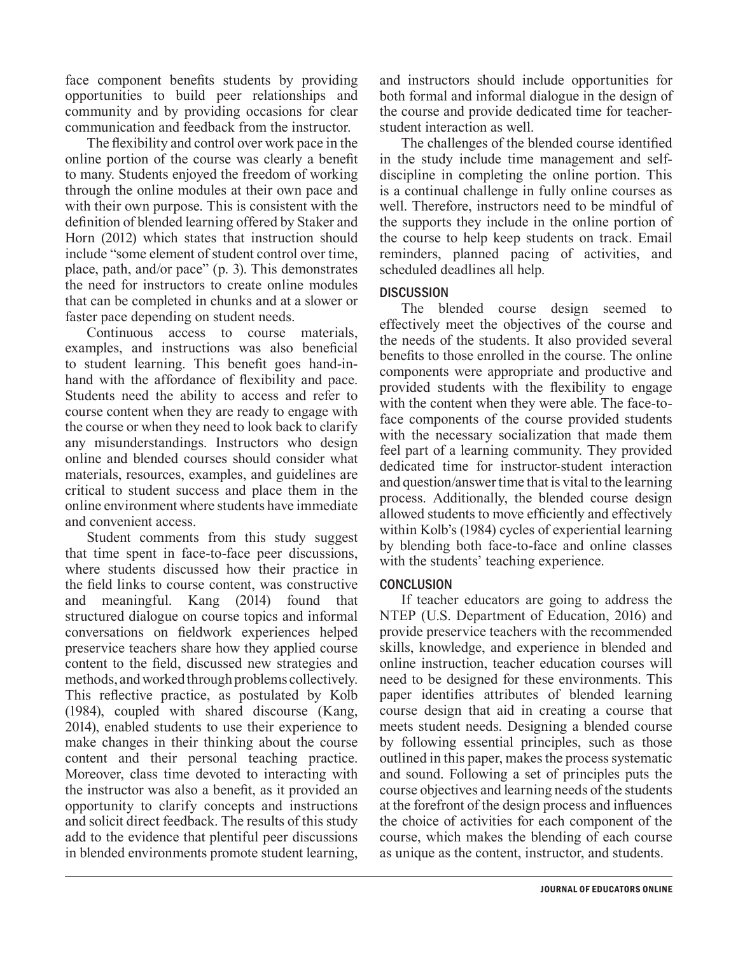face component benefits students by providing opportunities to build peer relationships and community and by providing occasions for clear communication and feedback from the instructor.

The flexibility and control over work pace in the online portion of the course was clearly a benefit to many. Students enjoyed the freedom of working through the online modules at their own pace and with their own purpose. This is consistent with the definition of blended learning offered by Staker and Horn (2012) which states that instruction should include "some element of student control over time, place, path, and/or pace" (p. 3). This demonstrates the need for instructors to create online modules that can be completed in chunks and at a slower or faster pace depending on student needs.

Continuous access to course materials, examples, and instructions was also beneficial to student learning. This benefit goes hand-inhand with the affordance of flexibility and pace. Students need the ability to access and refer to course content when they are ready to engage with the course or when they need to look back to clarify any misunderstandings. Instructors who design online and blended courses should consider what materials, resources, examples, and guidelines are critical to student success and place them in the online environment where students have immediate and convenient access.

Student comments from this study suggest that time spent in face-to-face peer discussions, where students discussed how their practice in the field links to course content, was constructive and meaningful. Kang (2014) found that structured dialogue on course topics and informal conversations on fieldwork experiences helped preservice teachers share how they applied course content to the field, discussed new strategies and methods, and worked through problems collectively. This reflective practice, as postulated by Kolb (1984), coupled with shared discourse (Kang, 2014), enabled students to use their experience to make changes in their thinking about the course content and their personal teaching practice. Moreover, class time devoted to interacting with the instructor was also a benefit, as it provided an opportunity to clarify concepts and instructions and solicit direct feedback. The results of this study add to the evidence that plentiful peer discussions in blended environments promote student learning,

and instructors should include opportunities for both formal and informal dialogue in the design of the course and provide dedicated time for teacherstudent interaction as well.

The challenges of the blended course identified in the study include time management and selfdiscipline in completing the online portion. This is a continual challenge in fully online courses as well. Therefore, instructors need to be mindful of the supports they include in the online portion of the course to help keep students on track. Email reminders, planned pacing of activities, and scheduled deadlines all help.

#### **DISCUSSION**

The blended course design seemed to effectively meet the objectives of the course and the needs of the students. It also provided several benefits to those enrolled in the course. The online components were appropriate and productive and provided students with the flexibility to engage with the content when they were able. The face-toface components of the course provided students with the necessary socialization that made them feel part of a learning community. They provided dedicated time for instructor-student interaction and question/answer time that is vital to the learning process. Additionally, the blended course design allowed students to move efficiently and effectively within Kolb's (1984) cycles of experiential learning by blending both face-to-face and online classes with the students' teaching experience.

#### **CONCLUSION**

If teacher educators are going to address the NTEP (U.S. Department of Education, 2016) and provide preservice teachers with the recommended skills, knowledge, and experience in blended and online instruction, teacher education courses will need to be designed for these environments. This paper identifies attributes of blended learning course design that aid in creating a course that meets student needs. Designing a blended course by following essential principles, such as those outlined in this paper, makes the process systematic and sound. Following a set of principles puts the course objectives and learning needs of the students at the forefront of the design process and influences the choice of activities for each component of the course, which makes the blending of each course as unique as the content, instructor, and students.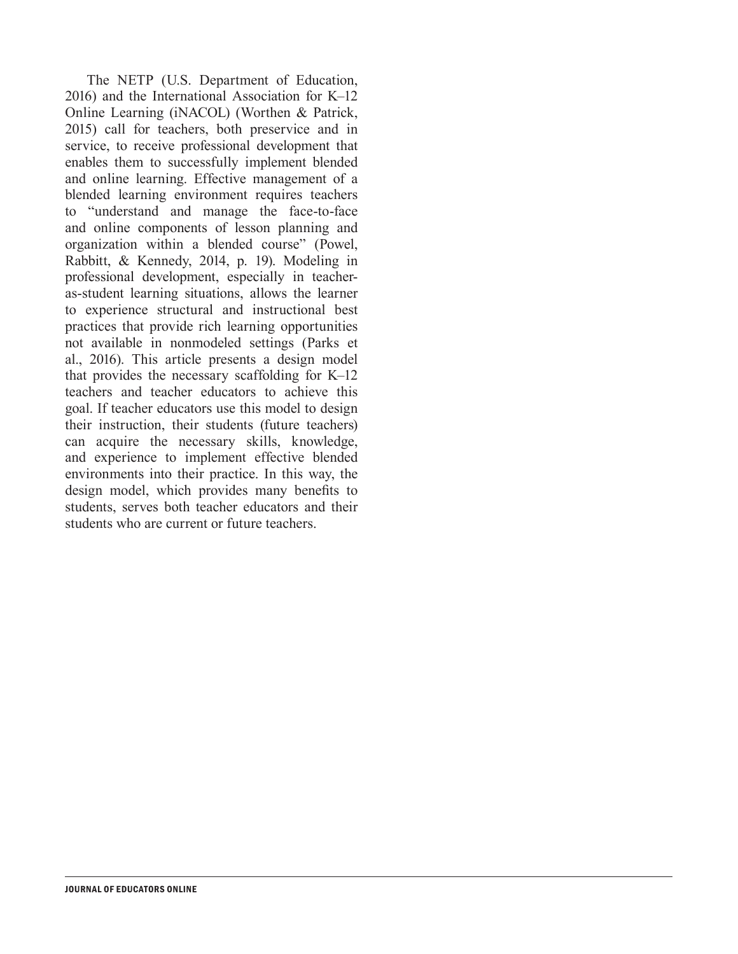The NETP (U.S. Department of Education, 2016) and the International Association for K–12 Online Learning (iNACOL) (Worthen & Patrick, 2015) call for teachers, both preservice and in service, to receive professional development that enables them to successfully implement blended and online learning. Effective management of a blended learning environment requires teachers to "understand and manage the face-to-face and online components of lesson planning and organization within a blended course" (Powel, Rabbitt, & Kennedy, 2014, p. 19). Modeling in professional development, especially in teacheras-student learning situations, allows the learner to experience structural and instructional best practices that provide rich learning opportunities not available in nonmodeled settings (Parks et al., 2016). This article presents a design model that provides the necessary scaffolding for K–12 teachers and teacher educators to achieve this goal. If teacher educators use this model to design their instruction, their students (future teachers) can acquire the necessary skills, knowledge, and experience to implement effective blended environments into their practice. In this way, the design model, which provides many benefits to students, serves both teacher educators and their students who are current or future teachers.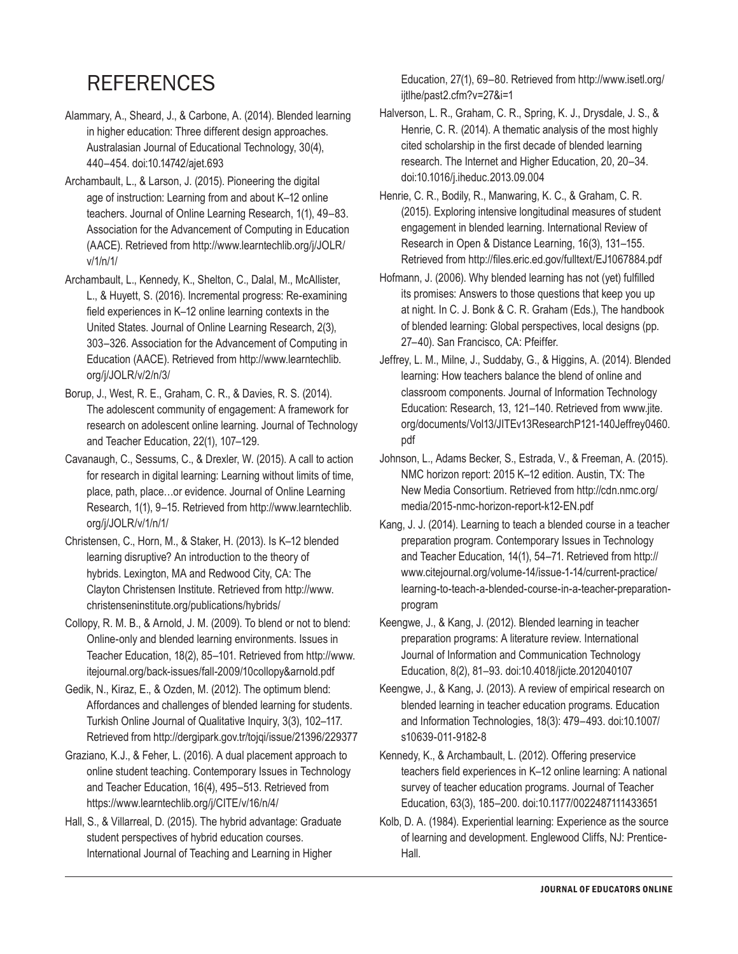## **REFERENCES**

- Alammary, A., Sheard, J., & Carbone, A. (2014). Blended learning in higher education: Three different design approaches. Australasian Journal of Educational Technology, 30(4), 440–454. doi:10.14742/ajet.693
- Archambault, L., & Larson, J. (2015). Pioneering the digital age of instruction: Learning from and about K–12 online teachers. Journal of Online Learning Research, 1(1), 49–83. Association for the Advancement of Computing in Education (AACE). Retrieved from http://www.learntechlib.org/j/JOLR/ v/1/n/1/
- Archambault, L., Kennedy, K., Shelton, C., Dalal, M., McAllister, L., & Huyett, S. (2016). Incremental progress: Re-examining field experiences in K–12 online learning contexts in the United States. Journal of Online Learning Research, 2(3), 303–326. Association for the Advancement of Computing in Education (AACE). Retrieved from http://www.learntechlib. org/j/JOLR/v/2/n/3/
- Borup, J., West, R. E., Graham, C. R., & Davies, R. S. (2014). The adolescent community of engagement: A framework for research on adolescent online learning. Journal of Technology and Teacher Education, 22(1), 107–129.
- Cavanaugh, C., Sessums, C., & Drexler, W. (2015). A call to action for research in digital learning: Learning without limits of time, place, path, place…or evidence. Journal of Online Learning Research, 1(1), 9–15. Retrieved from http://www.learntechlib. org/j/JOLR/v/1/n/1/
- Christensen, C., Horn, M., & Staker, H. (2013). Is K–12 blended learning disruptive? An introduction to the theory of hybrids. Lexington, MA and Redwood City, CA: The Clayton Christensen Institute. Retrieved from http://www. christenseninstitute.org/publications/hybrids/
- Collopy, R. M. B., & Arnold, J. M. (2009). To blend or not to blend: Online-only and blended learning environments. Issues in Teacher Education, 18(2), 85–101. Retrieved from http://www. itejournal.org/back-issues/fall-2009/10collopy&arnold.pdf
- Gedik, N., Kiraz, E., & Ozden, M. (2012). The optimum blend: Affordances and challenges of blended learning for students. Turkish Online Journal of Qualitative Inquiry, 3(3), 102–117. Retrieved from http://dergipark.gov.tr/tojqi/issue/21396/229377
- Graziano, K.J., & Feher, L. (2016). A dual placement approach to online student teaching. Contemporary Issues in Technology and Teacher Education, 16(4), 495–513. Retrieved from https://www.learntechlib.org/j/CITE/v/16/n/4/
- Hall, S., & Villarreal, D. (2015). The hybrid advantage: Graduate student perspectives of hybrid education courses. International Journal of Teaching and Learning in Higher

Education, 27(1), 69–80. Retrieved from http://www.isetl.org/ iitlhe/past2.cfm?v=27&i=1

- Halverson, L. R., Graham, C. R., Spring, K. J., Drysdale, J. S., & Henrie, C. R. (2014). A thematic analysis of the most highly cited scholarship in the first decade of blended learning research. The Internet and Higher Education, 20, 20–34. doi:10.1016/j.iheduc.2013.09.004
- Henrie, C. R., Bodily, R., Manwaring, K. C., & Graham, C. R. (2015). Exploring intensive longitudinal measures of student engagement in blended learning. International Review of Research in Open & Distance Learning, 16(3), 131–155. Retrieved from http://files.eric.ed.gov/fulltext/EJ1067884.pdf
- Hofmann, J. (2006). Why blended learning has not (yet) fulfilled its promises: Answers to those questions that keep you up at night. In C. J. Bonk & C. R. Graham (Eds.), The handbook of blended learning: Global perspectives, local designs (pp. 27–40). San Francisco, CA: Pfeiffer.
- Jeffrey, L. M., Milne, J., Suddaby, G., & Higgins, A. (2014). Blended learning: How teachers balance the blend of online and classroom components. Journal of Information Technology Education: Research, 13, 121–140. Retrieved from www.jite. org/documents/Vol13/JITEv13ResearchP121-140Jeffrey0460. pdf
- Johnson, L., Adams Becker, S., Estrada, V., & Freeman, A. (2015). NMC horizon report: 2015 K–12 edition. Austin, TX: The New Media Consortium. Retrieved from http://cdn.nmc.org/ media/2015-nmc-horizon-report-k12-EN.pdf
- Kang, J. J. (2014). Learning to teach a blended course in a teacher preparation program. Contemporary Issues in Technology and Teacher Education, 14(1), 54–71. Retrieved from http:// www.citejournal.org/volume-14/issue-1-14/current-practice/ learning-to-teach-a-blended-course-in-a-teacher-preparationprogram
- Keengwe, J., & Kang, J. (2012). Blended learning in teacher preparation programs: A literature review. International Journal of Information and Communication Technology Education, 8(2), 81–93. doi:10.4018/jicte.2012040107
- Keengwe, J., & Kang, J. (2013). A review of empirical research on blended learning in teacher education programs. Education and Information Technologies, 18(3): 479–493. doi:10.1007/ s10639-011-9182-8
- Kennedy, K., & Archambault, L. (2012). Offering preservice teachers field experiences in K–12 online learning: A national survey of teacher education programs. Journal of Teacher Education, 63(3), 185–200. doi:10.1177/0022487111433651
- Kolb, D. A. (1984). Experiential learning: Experience as the source of learning and development. Englewood Cliffs, NJ: Prentice-Hall.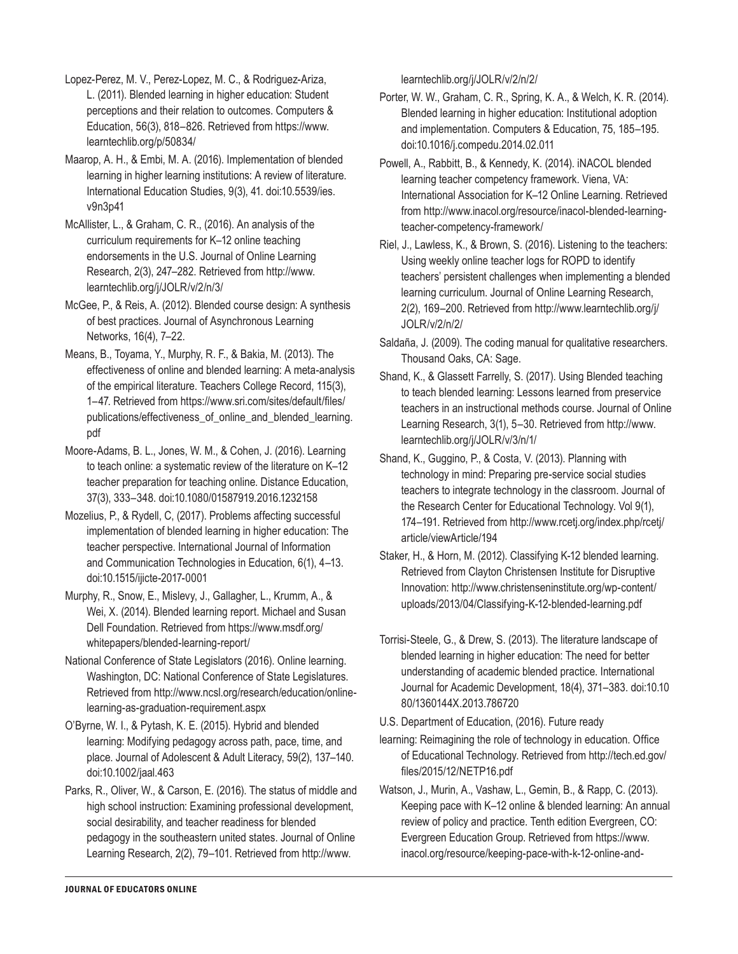Lopez-Perez, M. V., Perez-Lopez, M. C., & Rodriguez-Ariza, L. (2011). Blended learning in higher education: Student perceptions and their relation to outcomes. Computers & Education, 56(3), 818–826. Retrieved from https://www. learntechlib.org/p/50834/

Maarop, A. H., & Embi, M. A. (2016). Implementation of blended learning in higher learning institutions: A review of literature. International Education Studies, 9(3), 41. doi:10.5539/ies. v9n3p41

McAllister, L., & Graham, C. R., (2016). An analysis of the curriculum requirements for K–12 online teaching endorsements in the U.S. Journal of Online Learning Research, 2(3), 247–282. Retrieved from http://www. learntechlib.org/j/JOLR/v/2/n/3/

McGee, P., & Reis, A. (2012). Blended course design: A synthesis of best practices. Journal of Asynchronous Learning Networks, 16(4), 7–22.

Means, B., Toyama, Y., Murphy, R. F., & Bakia, M. (2013). The effectiveness of online and blended learning: A meta-analysis of the empirical literature. Teachers College Record, 115(3), 1–47. Retrieved from https://www.sri.com/sites/default/files/ publications/effectiveness\_of\_online\_and\_blended\_learning. pdf

Moore-Adams, B. L., Jones, W. M., & Cohen, J. (2016). Learning to teach online: a systematic review of the literature on K–12 teacher preparation for teaching online. Distance Education, 37(3), 333–348. doi:10.1080/01587919.2016.1232158

Mozelius, P., & Rydell, C, (2017). Problems affecting successful implementation of blended learning in higher education: The teacher perspective. International Journal of Information and Communication Technologies in Education, 6(1), 4–13. doi:10.1515/ijicte-2017-0001

Murphy, R., Snow, E., Mislevy, J., Gallagher, L., Krumm, A., & Wei, X. (2014). Blended learning report. Michael and Susan Dell Foundation. Retrieved from https://www.msdf.org/ whitepapers/blended-learning-report/

National Conference of State Legislators (2016). Online learning. Washington, DC: National Conference of State Legislatures. Retrieved from http://www.ncsl.org/research/education/onlinelearning-as-graduation-requirement.aspx

O'Byrne, W. I., & Pytash, K. E. (2015). Hybrid and blended learning: Modifying pedagogy across path, pace, time, and place. Journal of Adolescent & Adult Literacy, 59(2), 137–140. doi:10.1002/jaal.463

Parks, R., Oliver, W., & Carson, E. (2016). The status of middle and high school instruction: Examining professional development, social desirability, and teacher readiness for blended pedagogy in the southeastern united states. Journal of Online Learning Research, 2(2), 79–101. Retrieved from http://www.

learntechlib.org/j/JOLR/v/2/n/2/

Porter, W. W., Graham, C. R., Spring, K. A., & Welch, K. R. (2014). Blended learning in higher education: Institutional adoption and implementation. Computers & Education, 75, 185–195. doi:10.1016/j.compedu.2014.02.011

Powell, A., Rabbitt, B., & Kennedy, K. (2014). iNACOL blended learning teacher competency framework. Viena, VA: International Association for K–12 Online Learning. Retrieved from http://www.inacol.org/resource/inacol-blended-learningteacher-competency-framework/

Riel, J., Lawless, K., & Brown, S. (2016). Listening to the teachers: Using weekly online teacher logs for ROPD to identify teachers' persistent challenges when implementing a blended learning curriculum. Journal of Online Learning Research, 2(2), 169–200. Retrieved from http://www.learntechlib.org/j/ JOLR/v/2/n/2/

Saldaña, J. (2009). The coding manual for qualitative researchers. Thousand Oaks, CA: Sage.

Shand, K., & Glassett Farrelly, S. (2017). Using Blended teaching to teach blended learning: Lessons learned from preservice teachers in an instructional methods course. Journal of Online Learning Research, 3(1), 5–30. Retrieved from http://www. learntechlib.org/j/JOLR/v/3/n/1/

Shand, K., Guggino, P., & Costa, V. (2013). Planning with technology in mind: Preparing pre-service social studies teachers to integrate technology in the classroom. Journal of the Research Center for Educational Technology. Vol 9(1), 174–191. Retrieved from http://www.rcetj.org/index.php/rcetj/ article/viewArticle/194

Staker, H., & Horn, M. (2012). Classifying K-12 blended learning. Retrieved from Clayton Christensen Institute for Disruptive Innovation: http://www.christenseninstitute.org/wp-content/ uploads/2013/04/Classifying-K-12-blended-learning.pdf

Torrisi-Steele, G., & Drew, S. (2013). The literature landscape of blended learning in higher education: The need for better understanding of academic blended practice. International Journal for Academic Development, 18(4), 371–383. doi:10.10 80/1360144X.2013.786720

U.S. Department of Education, (2016). Future ready

learning: Reimagining the role of technology in education. Office of Educational Technology. Retrieved from http://tech.ed.gov/ files/2015/12/NETP16.pdf

Watson, J., Murin, A., Vashaw, L., Gemin, B., & Rapp, C. (2013). Keeping pace with K–12 online & blended learning: An annual review of policy and practice. Tenth edition Evergreen, CO: Evergreen Education Group. Retrieved from https://www. inacol.org/resource/keeping-pace-with-k-12-online-and